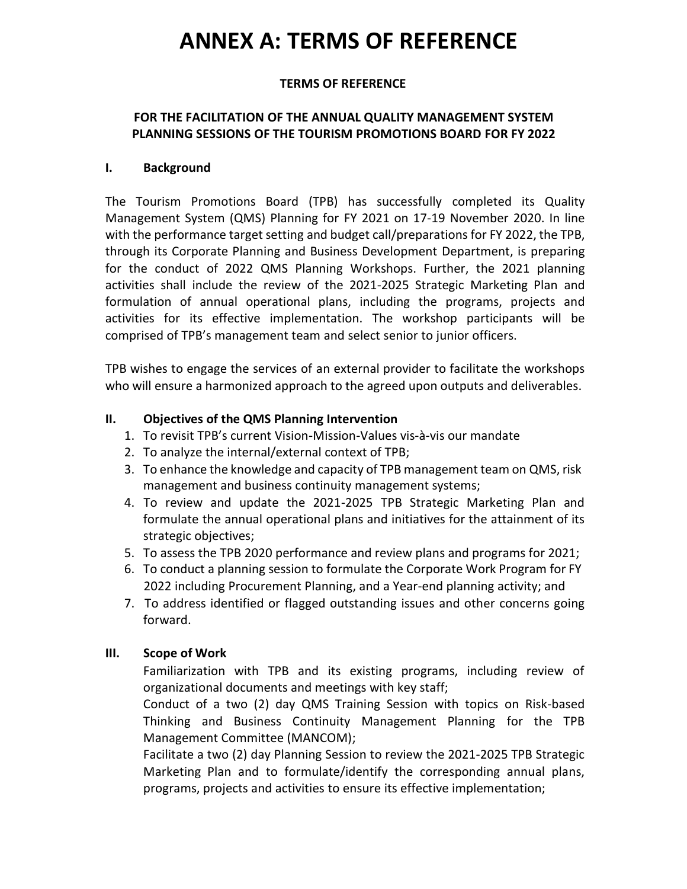# **ANNEX A: TERMS OF REFERENCE**

## **TERMS OF REFERENCE**

# **FOR THE FACILITATION OF THE ANNUAL QUALITY MANAGEMENT SYSTEM PLANNING SESSIONS OF THE TOURISM PROMOTIONS BOARD FOR FY 2022**

#### **I. Background**

The Tourism Promotions Board (TPB) has successfully completed its Quality Management System (QMS) Planning for FY 2021 on 17-19 November 2020. In line with the performance target setting and budget call/preparations for FY 2022, the TPB, through its Corporate Planning and Business Development Department, is preparing for the conduct of 2022 QMS Planning Workshops. Further, the 2021 planning activities shall include the review of the 2021-2025 Strategic Marketing Plan and formulation of annual operational plans, including the programs, projects and activities for its effective implementation. The workshop participants will be comprised of TPB's management team and select senior to junior officers.

TPB wishes to engage the services of an external provider to facilitate the workshops who will ensure a harmonized approach to the agreed upon outputs and deliverables.

#### **II. Objectives of the QMS Planning Intervention**

- 1. To revisit TPB's current Vision-Mission-Values vis-à-vis our mandate
- 2. To analyze the internal/external context of TPB;
- 3. To enhance the knowledge and capacity of TPB management team on QMS, risk management and business continuity management systems;
- 4. To review and update the 2021-2025 TPB Strategic Marketing Plan and formulate the annual operational plans and initiatives for the attainment of its strategic objectives;
- 5. To assess the TPB 2020 performance and review plans and programs for 2021;
- 6. To conduct a planning session to formulate the Corporate Work Program for FY 2022 including Procurement Planning, and a Year-end planning activity; and
- 7. To address identified or flagged outstanding issues and other concerns going forward.

#### **III. Scope of Work**

 Familiarization with TPB and its existing programs, including review of organizational documents and meetings with key staff;

 Conduct of a two (2) day QMS Training Session with topics on Risk-based Thinking and Business Continuity Management Planning for the TPB Management Committee (MANCOM);

 Facilitate a two (2) day Planning Session to review the 2021-2025 TPB Strategic Marketing Plan and to formulate/identify the corresponding annual plans, programs, projects and activities to ensure its effective implementation;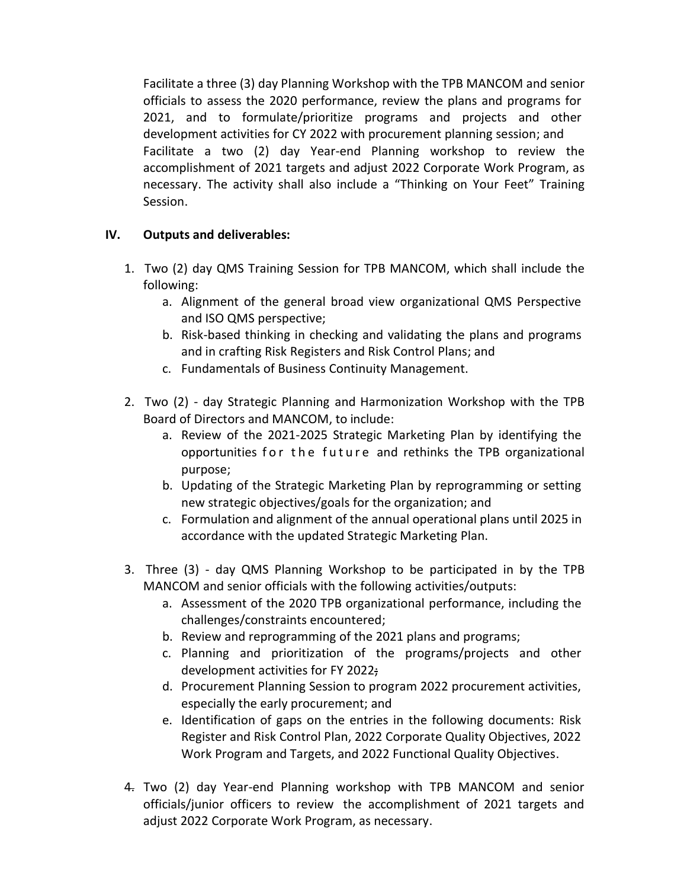Facilitate a three (3) day Planning Workshop with the TPB MANCOM and senior officials to assess the 2020 performance, review the plans and programs for 2021, and to formulate/prioritize programs and projects and other development activities for CY 2022 with procurement planning session; and Facilitate a two (2) day Year-end Planning workshop to review the accomplishment of 2021 targets and adjust 2022 Corporate Work Program, as necessary. The activity shall also include a "Thinking on Your Feet" Training Session.

# **IV. Outputs and deliverables:**

- 1. Two (2) day QMS Training Session for TPB MANCOM, which shall include the following:
	- a. Alignment of the general broad view organizational QMS Perspective and ISO QMS perspective;
	- b. Risk-based thinking in checking and validating the plans and programs and in crafting Risk Registers and Risk Control Plans; and
	- c. Fundamentals of Business Continuity Management.
- 2. Two (2) day Strategic Planning and Harmonization Workshop with the TPB Board of Directors and MANCOM, to include:
	- a. Review of the 2021-2025 Strategic Marketing Plan by identifying the opportunities for the future and rethinks the TPB organizational purpose;
	- b. Updating of the Strategic Marketing Plan by reprogramming or setting new strategic objectives/goals for the organization; and
	- c. Formulation and alignment of the annual operational plans until 2025 in accordance with the updated Strategic Marketing Plan.
- 3. Three (3) day QMS Planning Workshop to be participated in by the TPB MANCOM and senior officials with the following activities/outputs:
	- a. Assessment of the 2020 TPB organizational performance, including the challenges/constraints encountered;
	- b. Review and reprogramming of the 2021 plans and programs;
	- c. Planning and prioritization of the programs/projects and other development activities for FY 2022;
	- d. Procurement Planning Session to program 2022 procurement activities, especially the early procurement; and
	- e. Identification of gaps on the entries in the following documents: Risk Register and Risk Control Plan, 2022 Corporate Quality Objectives, 2022 Work Program and Targets, and 2022 Functional Quality Objectives.
- 4. Two (2) day Year-end Planning workshop with TPB MANCOM and senior officials/junior officers to review the accomplishment of 2021 targets and adjust 2022 Corporate Work Program, as necessary.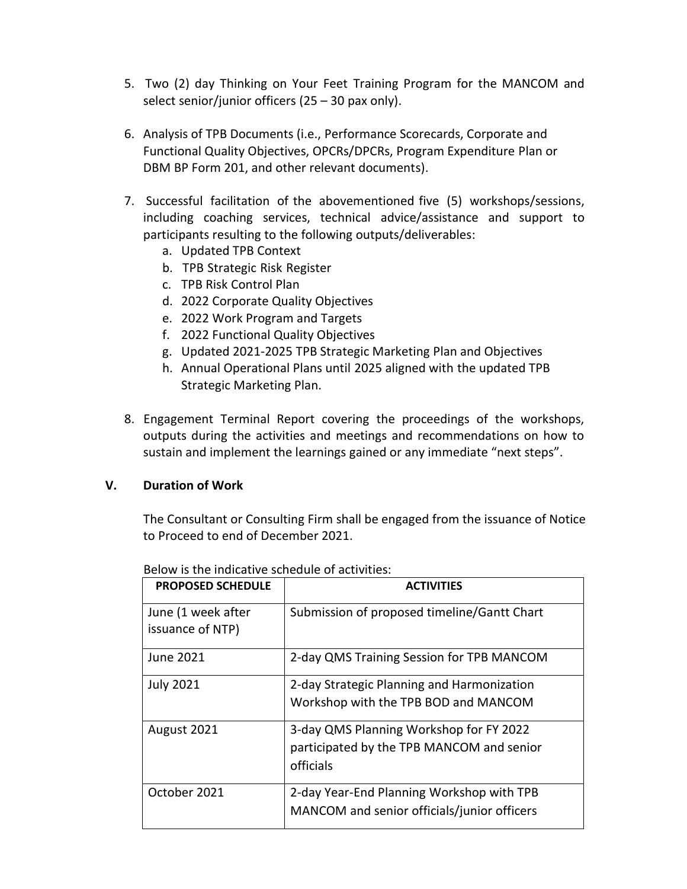- 5. Two (2) day Thinking on Your Feet Training Program for the MANCOM and select senior/junior officers  $(25 - 30 \text{ pax only}).$
- 6. Analysis of TPB Documents (i.e., Performance Scorecards, Corporate and Functional Quality Objectives, OPCRs/DPCRs, Program Expenditure Plan or DBM BP Form 201, and other relevant documents).
- 7. Successful facilitation of the abovementioned five (5) workshops/sessions, including coaching services, technical advice/assistance and support to participants resulting to the following outputs/deliverables:
	- a. Updated TPB Context
	- b. TPB Strategic Risk Register
	- c. TPB Risk Control Plan
	- d. 2022 Corporate Quality Objectives
	- e. 2022 Work Program and Targets
	- f. 2022 Functional Quality Objectives
	- g. Updated 2021-2025 TPB Strategic Marketing Plan and Objectives
	- h. Annual Operational Plans until 2025 aligned with the updated TPB Strategic Marketing Plan.
- 8. Engagement Terminal Report covering the proceedings of the workshops, outputs during the activities and meetings and recommendations on how to sustain and implement the learnings gained or any immediate "next steps".

#### **V. Duration of Work**

The Consultant or Consulting Firm shall be engaged from the issuance of Notice to Proceed to end of December 2021.

| <b>PROPOSED SCHEDULE</b>               | <b>ACTIVITIES</b>                                                                                 |
|----------------------------------------|---------------------------------------------------------------------------------------------------|
| June (1 week after<br>issuance of NTP) | Submission of proposed timeline/Gantt Chart                                                       |
| <b>June 2021</b>                       | 2-day QMS Training Session for TPB MANCOM                                                         |
| <b>July 2021</b>                       | 2-day Strategic Planning and Harmonization<br>Workshop with the TPB BOD and MANCOM                |
| August 2021                            | 3-day QMS Planning Workshop for FY 2022<br>participated by the TPB MANCOM and senior<br>officials |
| October 2021                           | 2-day Year-End Planning Workshop with TPB<br>MANCOM and senior officials/junior officers          |

Below is the indicative schedule of activities: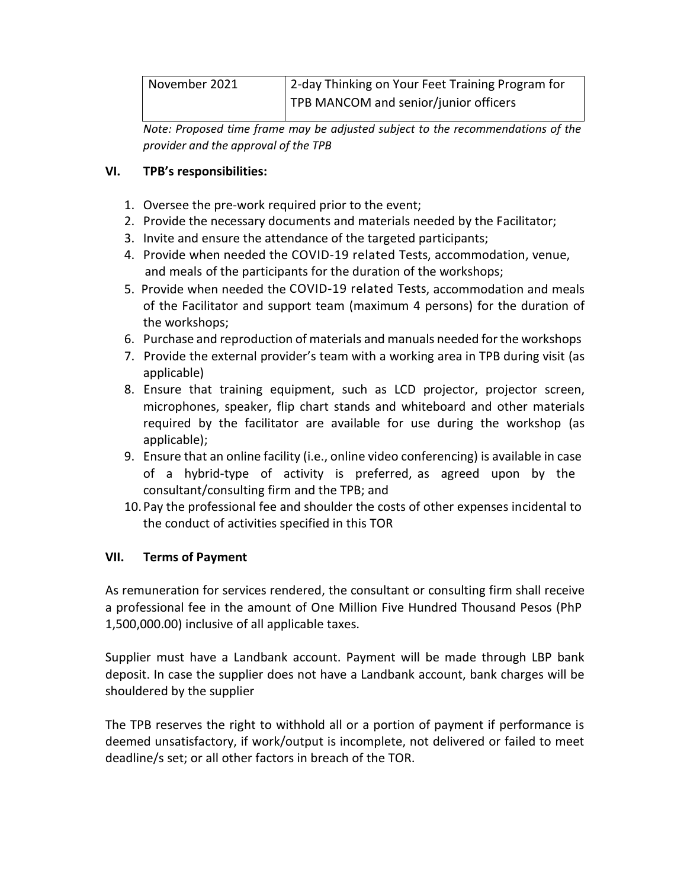| November 2021 | 2-day Thinking on Your Feet Training Program for |
|---------------|--------------------------------------------------|
|               | TPB MANCOM and senior/junior officers            |

*Note: Proposed time frame may be adjusted subject to the recommendations of the provider and the approval of the TPB*

# **VI. TPB's responsibilities:**

- 1. Oversee the pre-work required prior to the event;
- 2. Provide the necessary documents and materials needed by the Facilitator;
- 3. Invite and ensure the attendance of the targeted participants;
- 4. Provide when needed the COVID-19 related Tests, accommodation, venue, and meals of the participants for the duration of the workshops;
- 5. Provide when needed the COVID-19 related Tests, accommodation and meals of the Facilitator and support team (maximum 4 persons) for the duration of the workshops;
- 6. Purchase and reproduction of materials and manuals needed for the workshops
- 7. Provide the external provider's team with a working area in TPB during visit (as applicable)
- 8. Ensure that training equipment, such as LCD projector, projector screen, microphones, speaker, flip chart stands and whiteboard and other materials required by the facilitator are available for use during the workshop (as applicable);
- 9. Ensure that an online facility (i.e., online video conferencing) is available in case of a hybrid-type of activity is preferred, as agreed upon by the consultant/consulting firm and the TPB; and
- 10.Pay the professional fee and shoulder the costs of other expenses incidental to the conduct of activities specified in this TOR

# **VII. Terms of Payment**

As remuneration for services rendered, the consultant or consulting firm shall receive a professional fee in the amount of One Million Five Hundred Thousand Pesos (PhP 1,500,000.00) inclusive of all applicable taxes.

Supplier must have a Landbank account. Payment will be made through LBP bank deposit. In case the supplier does not have a Landbank account, bank charges will be shouldered by the supplier

The TPB reserves the right to withhold all or a portion of payment if performance is deemed unsatisfactory, if work/output is incomplete, not delivered or failed to meet deadline/s set; or all other factors in breach of the TOR.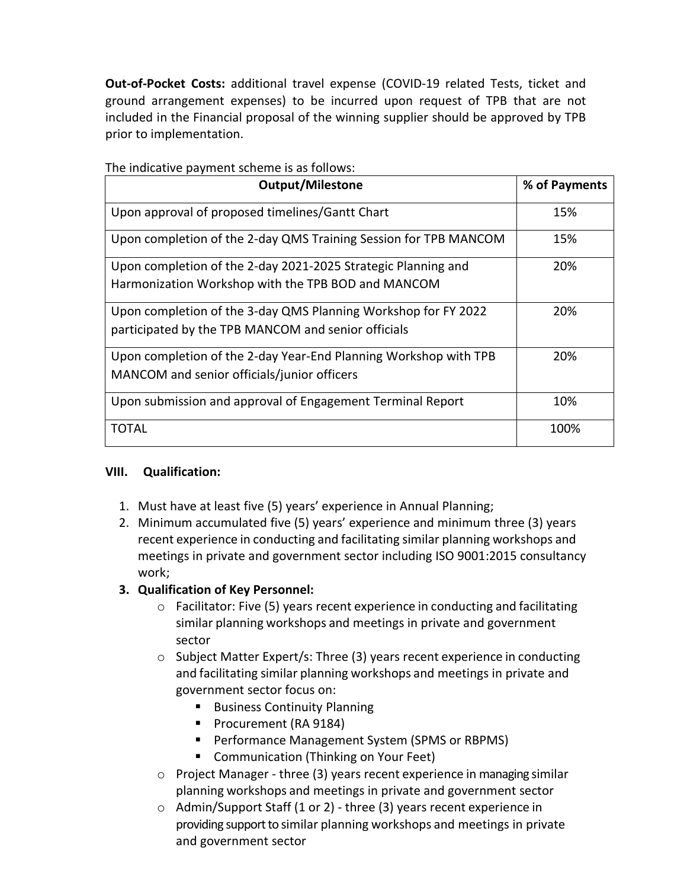**Out-of-Pocket Costs:** additional travel expense (COVID-19 related Tests, ticket and ground arrangement expenses) to be incurred upon request of TPB that are not included in the Financial proposal of the winning supplier should be approved by TPB prior to implementation.

| <b>Output/Milestone</b>                                          | % of Payments |
|------------------------------------------------------------------|---------------|
| Upon approval of proposed timelines/Gantt Chart                  | 15%           |
| Upon completion of the 2-day QMS Training Session for TPB MANCOM | 15%           |
| Upon completion of the 2-day 2021-2025 Strategic Planning and    | 20%           |
| Harmonization Workshop with the TPB BOD and MANCOM               |               |
| Upon completion of the 3-day QMS Planning Workshop for FY 2022   | 20%           |
| participated by the TPB MANCOM and senior officials              |               |
| Upon completion of the 2-day Year-End Planning Workshop with TPB | 20%           |
| MANCOM and senior officials/junior officers                      |               |
| Upon submission and approval of Engagement Terminal Report       | 10%           |
| TOTAL                                                            | 100%          |

The indicative payment scheme is as follows:

#### **VIII. Qualification:**

- 1. Must have at least five (5) years' experience in Annual Planning;
- 2. Minimum accumulated five (5) years' experience and minimum three (3) years recent experience in conducting and facilitating similar planning workshops and meetings in private and government sector including ISO 9001:2015 consultancy work;
- **3. Qualification of Key Personnel:**
	- $\circ$  Facilitator: Five (5) years recent experience in conducting and facilitating similar planning workshops and meetings in private and government sector
	- o Subject Matter Expert/s: Three (3) years recent experience in conducting and facilitating similar planning workshops and meetings in private and government sector focus on:
		- Business Continuity Planning
		- Procurement (RA 9184)
		- Performance Management System (SPMS or RBPMS)
		- Communication (Thinking on Your Feet)
	- o Project Manager three (3) years recent experience in managing similar planning workshops and meetings in private and government sector
	- o Admin/Support Staff (1 or 2) three (3) years recent experience in providing support to similar planning workshops and meetings in private and government sector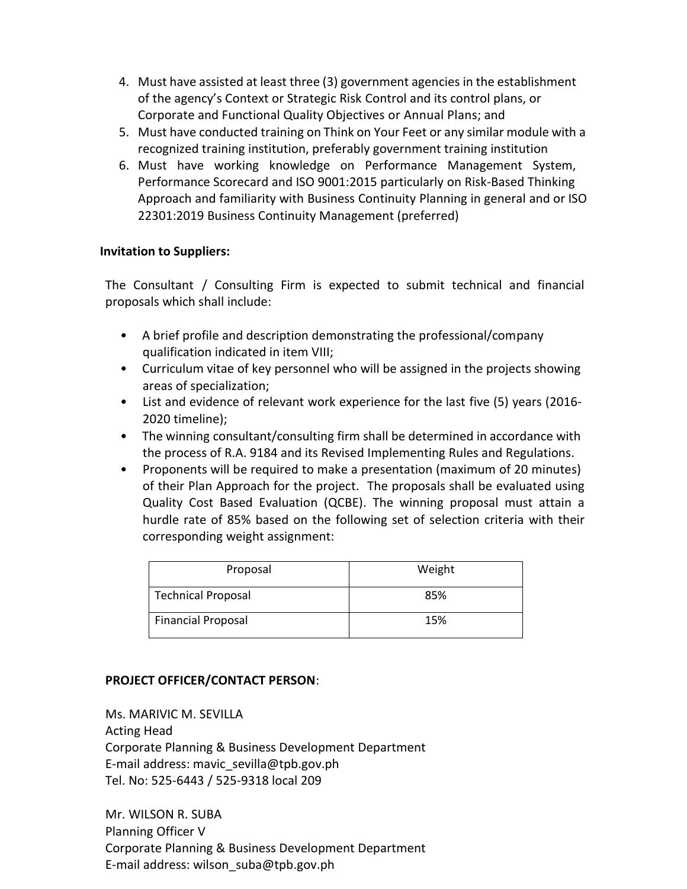- 4. Must have assisted at least three (3) government agencies in the establishment of the agency's Context or Strategic Risk Control and its control plans, or Corporate and Functional Quality Objectives or Annual Plans; and
- 5. Must have conducted training on Think on Your Feet or any similar module with a recognized training institution, preferably government training institution
- 6. Must have working knowledge on Performance Management System, Performance Scorecard and ISO 9001:2015 particularly on Risk-Based Thinking Approach and familiarity with Business Continuity Planning in general and or ISO 22301:2019 Business Continuity Management (preferred)

## **Invitation to Suppliers:**

The Consultant / Consulting Firm is expected to submit technical and financial proposals which shall include:

- A brief profile and description demonstrating the professional/company qualification indicated in item VIII;
- Curriculum vitae of key personnel who will be assigned in the projects showing areas of specialization;
- List and evidence of relevant work experience for the last five (5) years (2016- 2020 timeline);
- The winning consultant/consulting firm shall be determined in accordance with the process of R.A. 9184 and its Revised Implementing Rules and Regulations.
- Proponents will be required to make a presentation (maximum of 20 minutes) of their Plan Approach for the project. The proposals shall be evaluated using Quality Cost Based Evaluation (QCBE). The winning proposal must attain a hurdle rate of 85% based on the following set of selection criteria with their corresponding weight assignment:

| Proposal                  | Weight |
|---------------------------|--------|
| <b>Technical Proposal</b> | 85%    |
| <b>Financial Proposal</b> | 15%    |

# **PROJECT OFFICER/CONTACT PERSON**:

Ms. MARIVIC M. SEVILLA Acting Head Corporate Planning & Business Development Department E-mail address: mavic\_sevilla@tpb.gov.ph Tel. No: 525-6443 / 525-9318 local 209

Mr. WILSON R. SUBA Planning Officer V Corporate Planning & Business Development Department E-mail address: wilson\_suba@tpb.gov.ph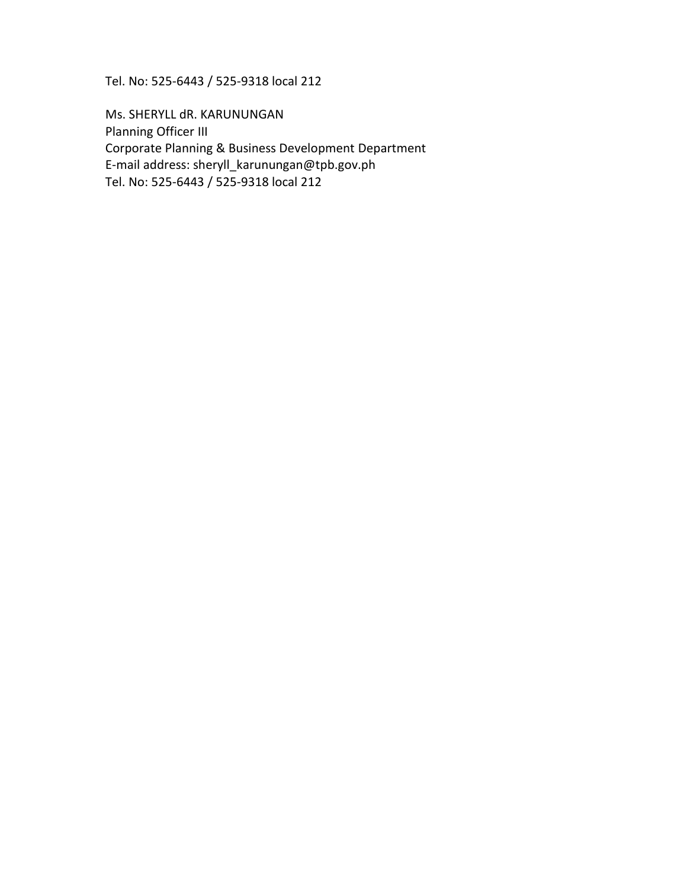Tel. No: 525-6443 / 525-9318 local 212

Ms. SHERYLL dR. KARUNUNGAN Planning Officer III Corporate Planning & Business Development Department E-mail address: sheryll\_karunungan@tpb.gov.ph Tel. No: 525-6443 / 525-9318 local 212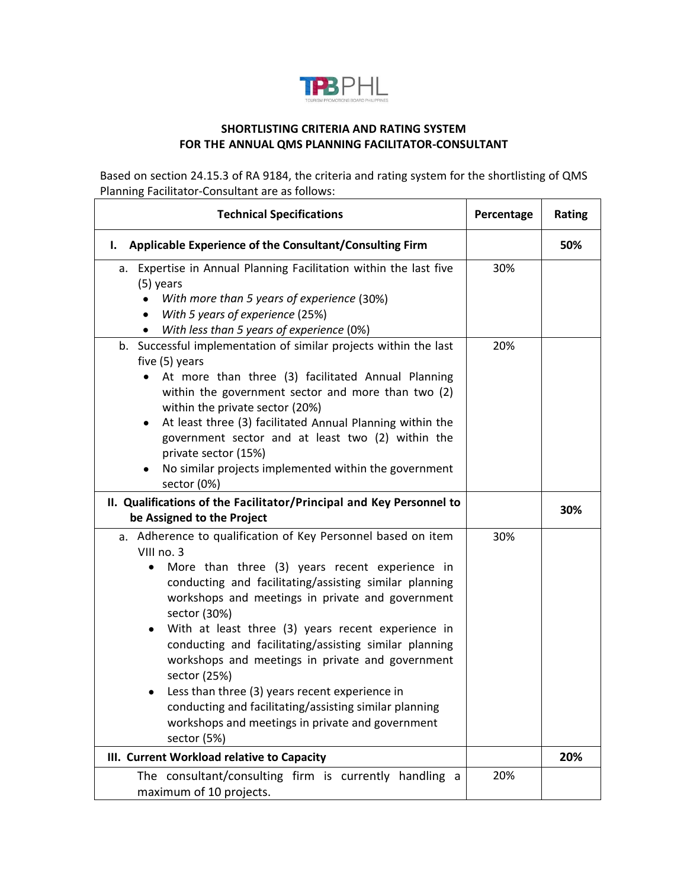

## **SHORTLISTING CRITERIA AND RATING SYSTEM FOR THE ANNUAL QMS PLANNING FACILITATOR-CONSULTANT**

Based on section 24.15.3 of RA 9184, the criteria and rating system for the shortlisting of QMS Planning Facilitator-Consultant are as follows:

| <b>Technical Specifications</b>                                                                                                                                                                                                                                                                                                                                                                                                                                                                                                                                                                                                            | Percentage | Rating |
|--------------------------------------------------------------------------------------------------------------------------------------------------------------------------------------------------------------------------------------------------------------------------------------------------------------------------------------------------------------------------------------------------------------------------------------------------------------------------------------------------------------------------------------------------------------------------------------------------------------------------------------------|------------|--------|
| Applicable Experience of the Consultant/Consulting Firm<br>I.                                                                                                                                                                                                                                                                                                                                                                                                                                                                                                                                                                              |            | 50%    |
| a. Expertise in Annual Planning Facilitation within the last five<br>(5) years<br>With more than 5 years of experience (30%)<br>$\bullet$<br>With 5 years of experience (25%)<br>$\bullet$<br>With less than 5 years of experience (0%)                                                                                                                                                                                                                                                                                                                                                                                                    | 30%        |        |
| b. Successful implementation of similar projects within the last<br>five (5) years<br>At more than three (3) facilitated Annual Planning<br>within the government sector and more than two (2)<br>within the private sector (20%)<br>At least three (3) facilitated Annual Planning within the<br>$\bullet$<br>government sector and at least two (2) within the<br>private sector (15%)<br>No similar projects implemented within the government<br>sector (0%)                                                                                                                                                                           | 20%        |        |
| II. Qualifications of the Facilitator/Principal and Key Personnel to<br>be Assigned to the Project                                                                                                                                                                                                                                                                                                                                                                                                                                                                                                                                         |            | 30%    |
| a. Adherence to qualification of Key Personnel based on item<br>VIII no. 3<br>More than three (3) years recent experience in<br>conducting and facilitating/assisting similar planning<br>workshops and meetings in private and government<br>sector (30%)<br>With at least three (3) years recent experience in<br>$\bullet$<br>conducting and facilitating/assisting similar planning<br>workshops and meetings in private and government<br>sector (25%)<br>Less than three (3) years recent experience in<br>conducting and facilitating/assisting similar planning<br>workshops and meetings in private and government<br>sector (5%) | 30%        |        |
| III. Current Workload relative to Capacity                                                                                                                                                                                                                                                                                                                                                                                                                                                                                                                                                                                                 |            | 20%    |
| The consultant/consulting firm is currently handling a<br>maximum of 10 projects.                                                                                                                                                                                                                                                                                                                                                                                                                                                                                                                                                          | 20%        |        |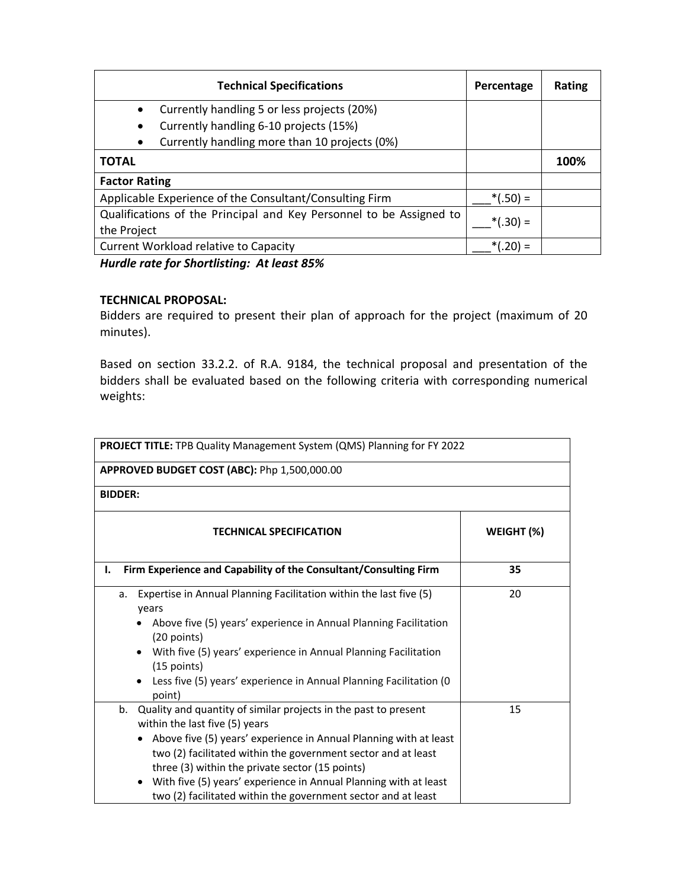| <b>Technical Specifications</b>                                                    | Percentage       | <b>Rating</b> |
|------------------------------------------------------------------------------------|------------------|---------------|
| Currently handling 5 or less projects (20%)<br>$\bullet$                           |                  |               |
| Currently handling 6-10 projects (15%)<br>$\bullet$                                |                  |               |
| Currently handling more than 10 projects (0%)                                      |                  |               |
| <b>TOTAL</b>                                                                       |                  | 100%          |
| <b>Factor Rating</b>                                                               |                  |               |
| Applicable Experience of the Consultant/Consulting Firm                            | $*(.50) =$       |               |
| Qualifications of the Principal and Key Personnel to be Assigned to<br>the Project | $*(.30) =$       |               |
| <b>Current Workload relative to Capacity</b>                                       | $(0.20) =$<br>*/ |               |

*Hurdle rate for Shortlisting: At least 85%*

### **TECHNICAL PROPOSAL:**

Bidders are required to present their plan of approach for the project (maximum of 20 minutes).

Based on section 33.2.2. of R.A. 9184, the technical proposal and presentation of the bidders shall be evaluated based on the following criteria with corresponding numerical weights:

| PROJECT TITLE: TPB Quality Management System (QMS) Planning for FY 2022                                                                                                                                                                                                                                                                                                                                                                            |            |
|----------------------------------------------------------------------------------------------------------------------------------------------------------------------------------------------------------------------------------------------------------------------------------------------------------------------------------------------------------------------------------------------------------------------------------------------------|------------|
| APPROVED BUDGET COST (ABC): Php 1,500,000.00                                                                                                                                                                                                                                                                                                                                                                                                       |            |
| <b>BIDDER:</b>                                                                                                                                                                                                                                                                                                                                                                                                                                     |            |
| <b>TECHNICAL SPECIFICATION</b>                                                                                                                                                                                                                                                                                                                                                                                                                     | WEIGHT (%) |
| Firm Experience and Capability of the Consultant/Consulting Firm<br>I.                                                                                                                                                                                                                                                                                                                                                                             | 35         |
| Expertise in Annual Planning Facilitation within the last five (5)<br>a.<br>years<br>• Above five (5) years' experience in Annual Planning Facilitation<br>(20 points)<br>• With five (5) years' experience in Annual Planning Facilitation<br>$(15$ points)<br>Less five (5) years' experience in Annual Planning Facilitation (0<br>point)                                                                                                       | 20         |
| Quality and quantity of similar projects in the past to present<br>b.<br>within the last five (5) years<br>Above five (5) years' experience in Annual Planning with at least<br>$\bullet$<br>two (2) facilitated within the government sector and at least<br>three (3) within the private sector (15 points)<br>With five (5) years' experience in Annual Planning with at least<br>two (2) facilitated within the government sector and at least | 15         |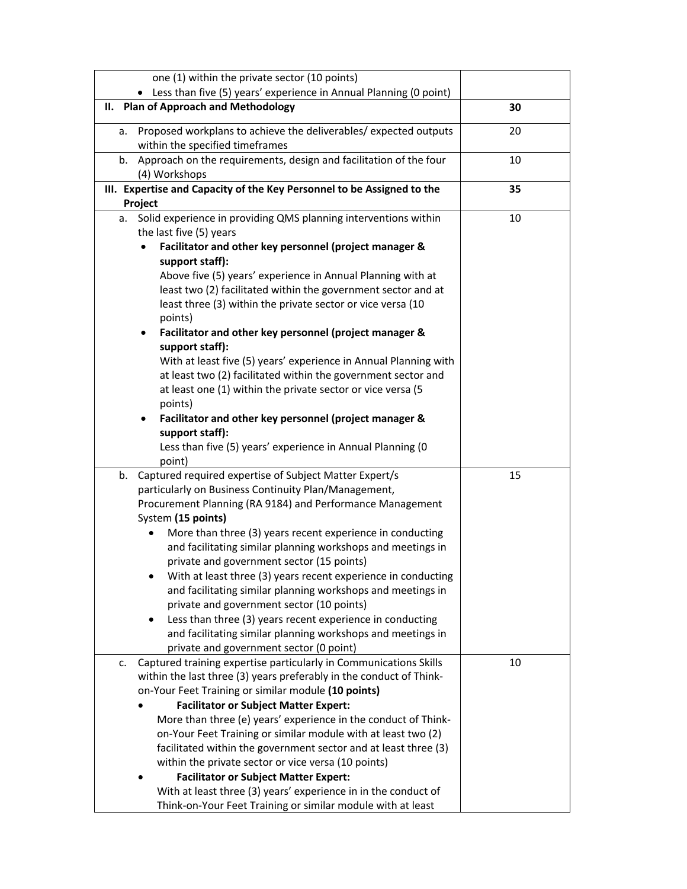| one (1) within the private sector (10 points)                                                            |    |
|----------------------------------------------------------------------------------------------------------|----|
| • Less than five (5) years' experience in Annual Planning (0 point)                                      |    |
| II. Plan of Approach and Methodology                                                                     | 30 |
| Proposed workplans to achieve the deliverables/expected outputs<br>а.<br>within the specified timeframes | 20 |
| b. Approach on the requirements, design and facilitation of the four                                     | 10 |
| (4) Workshops                                                                                            |    |
| III. Expertise and Capacity of the Key Personnel to be Assigned to the                                   | 35 |
| Project                                                                                                  |    |
| Solid experience in providing QMS planning interventions within<br>а.                                    | 10 |
| the last five (5) years                                                                                  |    |
| Facilitator and other key personnel (project manager &                                                   |    |
| support staff):                                                                                          |    |
| Above five (5) years' experience in Annual Planning with at                                              |    |
| least two (2) facilitated within the government sector and at                                            |    |
| least three (3) within the private sector or vice versa (10<br>points)                                   |    |
|                                                                                                          |    |
| Facilitator and other key personnel (project manager &<br>٠<br>support staff):                           |    |
| With at least five (5) years' experience in Annual Planning with                                         |    |
| at least two (2) facilitated within the government sector and                                            |    |
| at least one (1) within the private sector or vice versa (5                                              |    |
| points)                                                                                                  |    |
| Facilitator and other key personnel (project manager &<br>٠                                              |    |
| support staff):                                                                                          |    |
| Less than five (5) years' experience in Annual Planning (0                                               |    |
| point)                                                                                                   |    |
| Captured required expertise of Subject Matter Expert/s<br>b.                                             | 15 |
| particularly on Business Continuity Plan/Management,                                                     |    |
| Procurement Planning (RA 9184) and Performance Management                                                |    |
| System (15 points)                                                                                       |    |
| More than three (3) years recent experience in conducting                                                |    |
| and facilitating similar planning workshops and meetings in                                              |    |
| private and government sector (15 points)                                                                |    |
| With at least three (3) years recent experience in conducting                                            |    |
| and facilitating similar planning workshops and meetings in                                              |    |
| private and government sector (10 points)                                                                |    |
| Less than three (3) years recent experience in conducting                                                |    |
| and facilitating similar planning workshops and meetings in                                              |    |
| private and government sector (0 point)                                                                  |    |
| Captured training expertise particularly in Communications Skills<br>c.                                  | 10 |
| within the last three (3) years preferably in the conduct of Think-                                      |    |
| on-Your Feet Training or similar module (10 points)                                                      |    |
| <b>Facilitator or Subject Matter Expert:</b>                                                             |    |
| More than three (e) years' experience in the conduct of Think-                                           |    |
| on-Your Feet Training or similar module with at least two (2)                                            |    |
| facilitated within the government sector and at least three (3)                                          |    |
| within the private sector or vice versa (10 points)                                                      |    |
| <b>Facilitator or Subject Matter Expert:</b>                                                             |    |
| With at least three (3) years' experience in in the conduct of                                           |    |
| Think-on-Your Feet Training or similar module with at least                                              |    |